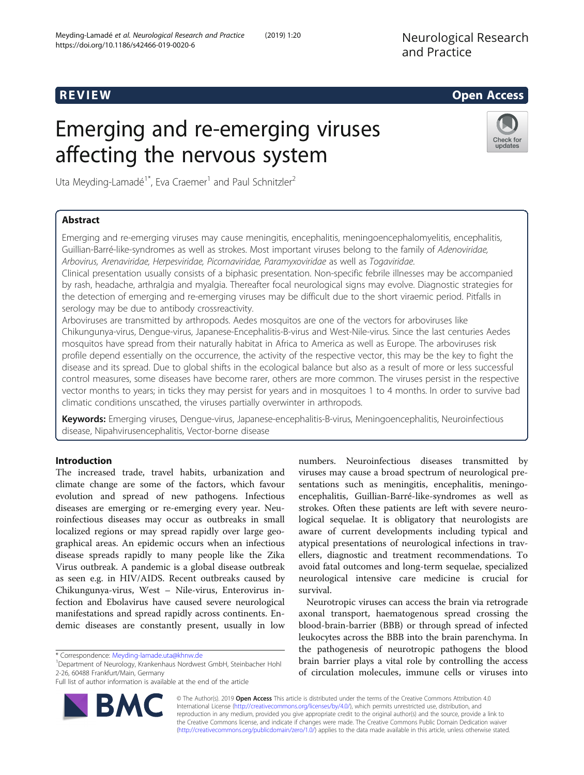# R EVI EW Open Access

# Emerging and re-emerging viruses affecting the nervous system



Uta Meyding-Lamadé<sup>1\*</sup>, Eva Craemer<sup>1</sup> and Paul Schnitzler<sup>2</sup>

# Abstract

Emerging and re-emerging viruses may cause meningitis, encephalitis, meningoencephalomyelitis, encephalitis, Guillian-Barré-like-syndromes as well as strokes. Most important viruses belong to the family of Adenoviridae, Arbovirus, Arenaviridae, Herpesviridae, Picornaviridae, Paramyxoviridae as well as Togaviridae.

Clinical presentation usually consists of a biphasic presentation. Non-specific febrile illnesses may be accompanied by rash, headache, arthralgia and myalgia. Thereafter focal neurological signs may evolve. Diagnostic strategies for the detection of emerging and re-emerging viruses may be difficult due to the short viraemic period. Pitfalls in serology may be due to antibody crossreactivity.

Arboviruses are transmitted by arthropods. Aedes mosquitos are one of the vectors for arboviruses like Chikungunya-virus, Dengue-virus, Japanese-Encephalitis-B-virus and West-Nile-virus. Since the last centuries Aedes mosquitos have spread from their naturally habitat in Africa to America as well as Europe. The arboviruses risk profile depend essentially on the occurrence, the activity of the respective vector, this may be the key to fight the disease and its spread. Due to global shifts in the ecological balance but also as a result of more or less successful control measures, some diseases have become rarer, others are more common. The viruses persist in the respective vector months to years; in ticks they may persist for years and in mosquitoes 1 to 4 months. In order to survive bad climatic conditions unscathed, the viruses partially overwinter in arthropods.

Keywords: Emerging viruses, Dengue-virus, Japanese-encephalitis-B-virus, Meningoencephalitis, Neuroinfectious disease, Nipahvirusencephalitis, Vector-borne disease

# Introduction

The increased trade, travel habits, urbanization and climate change are some of the factors, which favour evolution and spread of new pathogens. Infectious diseases are emerging or re-emerging every year. Neuroinfectious diseases may occur as outbreaks in small localized regions or may spread rapidly over large geographical areas. An epidemic occurs when an infectious disease spreads rapidly to many people like the Zika Virus outbreak. A pandemic is a global disease outbreak as seen e.g. in HIV/AIDS. Recent outbreaks caused by Chikungunya-virus, West – Nile-virus, Enterovirus infection and Ebolavirus have caused severe neurological manifestations and spread rapidly across continents. Endemic diseases are constantly present, usually in low

Department of Neurology, Krankenhaus Nordwest GmbH, Steinbacher Hohl 2-26, 60488 Frankfurt/Main, Germany

Full list of author information is available at the end of the article



numbers. Neuroinfectious diseases transmitted by viruses may cause a broad spectrum of neurological presentations such as meningitis, encephalitis, meningoencephalitis, Guillian-Barré-like-syndromes as well as strokes. Often these patients are left with severe neurological sequelae. It is obligatory that neurologists are aware of current developments including typical and atypical presentations of neurological infections in travellers, diagnostic and treatment recommendations. To avoid fatal outcomes and long-term sequelae, specialized neurological intensive care medicine is crucial for survival.

Neurotropic viruses can access the brain via retrograde axonal transport, haematogenous spread crossing the blood-brain-barrier (BBB) or through spread of infected leukocytes across the BBB into the brain parenchyma. In the pathogenesis of neurotropic pathogens the blood brain barrier plays a vital role by controlling the access of circulation molecules, immune cells or viruses into

© The Author(s). 2019 Open Access This article is distributed under the terms of the Creative Commons Attribution 4.0 International License [\(http://creativecommons.org/licenses/by/4.0/](http://creativecommons.org/licenses/by/4.0/)), which permits unrestricted use, distribution, and reproduction in any medium, provided you give appropriate credit to the original author(s) and the source, provide a link to the Creative Commons license, and indicate if changes were made. The Creative Commons Public Domain Dedication waiver [\(http://creativecommons.org/publicdomain/zero/1.0/](http://creativecommons.org/publicdomain/zero/1.0/)) applies to the data made available in this article, unless otherwise stated.

<sup>\*</sup> Correspondence: [Meyding-lamade.uta@khnw.de](mailto:Meyding-lamade.uta@khnw.de) <sup>1</sup>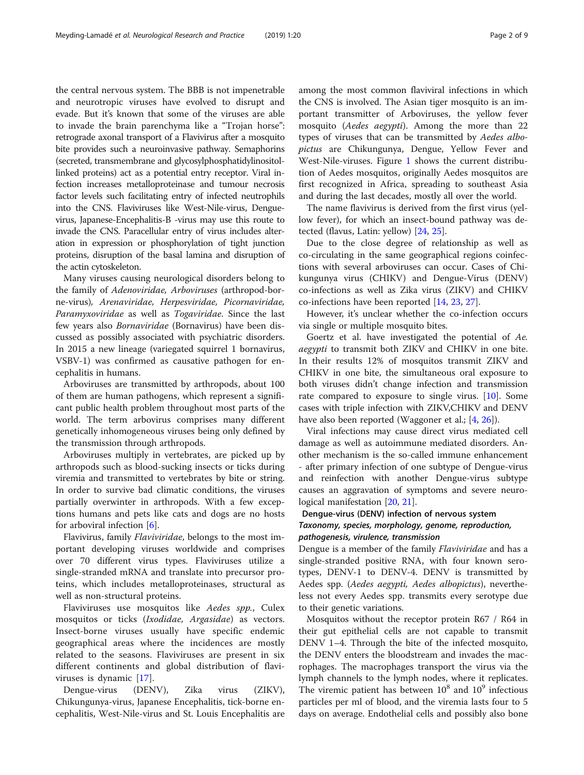the central nervous system. The BBB is not impenetrable and neurotropic viruses have evolved to disrupt and evade. But it's known that some of the viruses are able to invade the brain parenchyma like a "Trojan horse": retrograde axonal transport of a Flavivirus after a mosquito bite provides such a neuroinvasive pathway. Semaphorins (secreted, transmembrane and glycosylphosphatidylinositollinked proteins) act as a potential entry receptor. Viral infection increases metalloproteinase and tumour necrosis factor levels such facilitating entry of infected neutrophils into the CNS. Flaviviruses like West-Nile-virus, Denguevirus, Japanese-Encephalitis-B -virus may use this route to invade the CNS. Paracellular entry of virus includes alteration in expression or phosphorylation of tight junction proteins, disruption of the basal lamina and disruption of the actin cytoskeleton.

Many viruses causing neurological disorders belong to the family of Adenoviridae, Arboviruses (arthropod-borne-virus), Arenaviridae, Herpesviridae, Picornaviridae, Paramyxoviridae as well as Togaviridae. Since the last few years also Bornaviridae (Bornavirus) have been discussed as possibly associated with psychiatric disorders. In 2015 a new lineage (variegated squirrel 1 bornavirus, VSBV-1) was confirmed as causative pathogen for encephalitis in humans.

Arboviruses are transmitted by arthropods, about 100 of them are human pathogens, which represent a significant public health problem throughout most parts of the world. The term arbovirus comprises many different genetically inhomogeneous viruses being only defined by the transmission through arthropods.

Arboviruses multiply in vertebrates, are picked up by arthropods such as blood-sucking insects or ticks during viremia and transmitted to vertebrates by bite or string. In order to survive bad climatic conditions, the viruses partially overwinter in arthropods. With a few exceptions humans and pets like cats and dogs are no hosts for arboviral infection  $[6]$  $[6]$ .

Flavivirus, family Flaviviridae, belongs to the most important developing viruses worldwide and comprises over 70 different virus types. Flaviviruses utilize a single-stranded mRNA and translate into precursor proteins, which includes metalloproteinases, structural as well as non-structural proteins.

Flaviviruses use mosquitos like Aedes spp., Culex mosquitos or ticks (Ixodidae, Argasidae) as vectors. Insect-borne viruses usually have specific endemic geographical areas where the incidences are mostly related to the seasons. Flaviviruses are present in six different continents and global distribution of flaviviruses is dynamic [\[17](#page-8-0)].

Dengue-virus (DENV), Zika virus (ZIKV), Chikungunya-virus, Japanese Encephalitis, tick-borne encephalitis, West-Nile-virus and St. Louis Encephalitis are among the most common flaviviral infections in which the CNS is involved. The Asian tiger mosquito is an important transmitter of Arboviruses, the yellow fever mosquito (*Aedes aegypti*). Among the more than 22 types of viruses that can be transmitted by Aedes albopictus are Chikungunya, Dengue, Yellow Fever and West-Nile-viruses. Figure [1](#page-2-0) shows the current distribution of Aedes mosquitos, originally Aedes mosquitos are first recognized in Africa, spreading to southeast Asia and during the last decades, mostly all over the world.

The name flavivirus is derived from the first virus (yellow fever), for which an insect-bound pathway was detected (flavus, Latin: yellow) [[24,](#page-8-0) [25\]](#page-8-0).

Due to the close degree of relationship as well as co-circulating in the same geographical regions coinfections with several arboviruses can occur. Cases of Chikungunya virus (CHIKV) and Dengue-Virus (DENV) co-infections as well as Zika virus (ZIKV) and CHIKV co-infections have been reported [\[14](#page-8-0), [23,](#page-8-0) [27\]](#page-8-0).

However, it's unclear whether the co-infection occurs via single or multiple mosquito bites.

Goertz et al. have investigated the potential of Ae. aegypti to transmit both ZIKV and CHIKV in one bite. In their results 12% of mosquitos transmit ZIKV and CHIKV in one bite, the simultaneous oral exposure to both viruses didn't change infection and transmission rate compared to exposure to single virus. [[10\]](#page-8-0). Some cases with triple infection with ZIKV,CHIKV and DENV have also been reported (Waggoner et al.; [\[4](#page-8-0), [26](#page-8-0)]).

Viral infections may cause direct virus mediated cell damage as well as autoimmune mediated disorders. Another mechanism is the so-called immune enhancement - after primary infection of one subtype of Dengue-virus and reinfection with another Dengue-virus subtype causes an aggravation of symptoms and severe neuro-logical manifestation [\[20](#page-8-0), [21](#page-8-0)].

### Dengue-virus (DENV) infection of nervous system Taxonomy, species, morphology, genome, reproduction, pathogenesis, virulence, transmission

Dengue is a member of the family *Flaviviridae* and has a single-stranded positive RNA, with four known serotypes, DENV-1 to DENV-4. DENV is transmitted by Aedes spp. (Aedes aegypti, Aedes albopictus), nevertheless not every Aedes spp. transmits every serotype due to their genetic variations.

Mosquitos without the receptor protein R67 / R64 in their gut epithelial cells are not capable to transmit DENV 1–4. Through the bite of the infected mosquito, the DENV enters the bloodstream and invades the macrophages. The macrophages transport the virus via the lymph channels to the lymph nodes, where it replicates. The viremic patient has between  $10^8$  and  $10^9$  infectious particles per ml of blood, and the viremia lasts four to 5 days on average. Endothelial cells and possibly also bone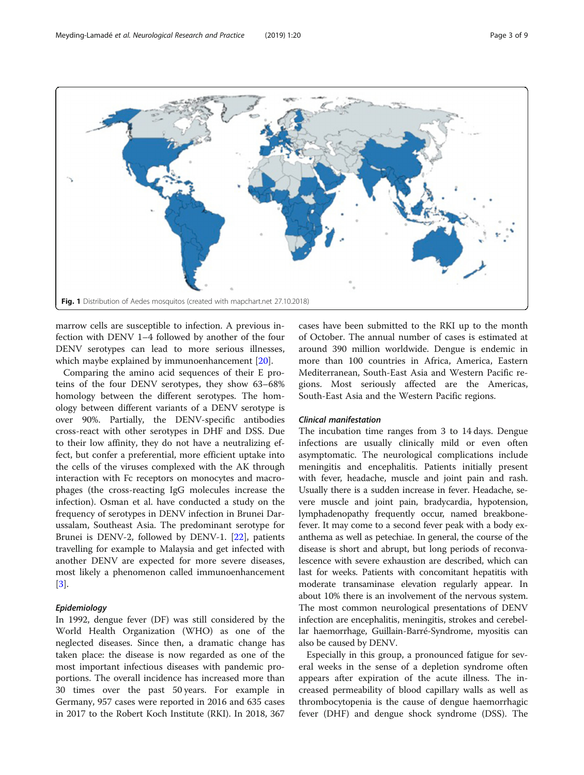<span id="page-2-0"></span>

marrow cells are susceptible to infection. A previous infection with DENV 1–4 followed by another of the four DENV serotypes can lead to more serious illnesses, which maybe explained by immunoenhancement [[20](#page-8-0)].

Comparing the amino acid sequences of their E proteins of the four DENV serotypes, they show 63–68% homology between the different serotypes. The homology between different variants of a DENV serotype is over 90%. Partially, the DENV-specific antibodies cross-react with other serotypes in DHF and DSS. Due to their low affinity, they do not have a neutralizing effect, but confer a preferential, more efficient uptake into the cells of the viruses complexed with the AK through interaction with Fc receptors on monocytes and macrophages (the cross-reacting IgG molecules increase the infection). Osman et al. have conducted a study on the frequency of serotypes in DENV infection in Brunei Darussalam, Southeast Asia. The predominant serotype for Brunei is DENV-2, followed by DENV-1. [[22\]](#page-8-0), patients travelling for example to Malaysia and get infected with another DENV are expected for more severe diseases, most likely a phenomenon called immunoenhancement [[3\]](#page-8-0).

#### Epidemiology

In 1992, dengue fever (DF) was still considered by the World Health Organization (WHO) as one of the neglected diseases. Since then, a dramatic change has taken place: the disease is now regarded as one of the most important infectious diseases with pandemic proportions. The overall incidence has increased more than 30 times over the past 50 years. For example in Germany, 957 cases were reported in 2016 and 635 cases in 2017 to the Robert Koch Institute (RKI). In 2018, 367

cases have been submitted to the RKI up to the month of October. The annual number of cases is estimated at around 390 million worldwide. Dengue is endemic in more than 100 countries in Africa, America, Eastern Mediterranean, South-East Asia and Western Pacific regions. Most seriously affected are the Americas, South-East Asia and the Western Pacific regions.

#### Clinical manifestation

The incubation time ranges from 3 to 14 days. Dengue infections are usually clinically mild or even often asymptomatic. The neurological complications include meningitis and encephalitis. Patients initially present with fever, headache, muscle and joint pain and rash. Usually there is a sudden increase in fever. Headache, severe muscle and joint pain, bradycardia, hypotension, lymphadenopathy frequently occur, named breakbonefever. It may come to a second fever peak with a body exanthema as well as petechiae. In general, the course of the disease is short and abrupt, but long periods of reconvalescence with severe exhaustion are described, which can last for weeks. Patients with concomitant hepatitis with moderate transaminase elevation regularly appear. In about 10% there is an involvement of the nervous system. The most common neurological presentations of DENV infection are encephalitis, meningitis, strokes and cerebellar haemorrhage, Guillain-Barré-Syndrome, myositis can also be caused by DENV.

Especially in this group, a pronounced fatigue for several weeks in the sense of a depletion syndrome often appears after expiration of the acute illness. The increased permeability of blood capillary walls as well as thrombocytopenia is the cause of dengue haemorrhagic fever (DHF) and dengue shock syndrome (DSS). The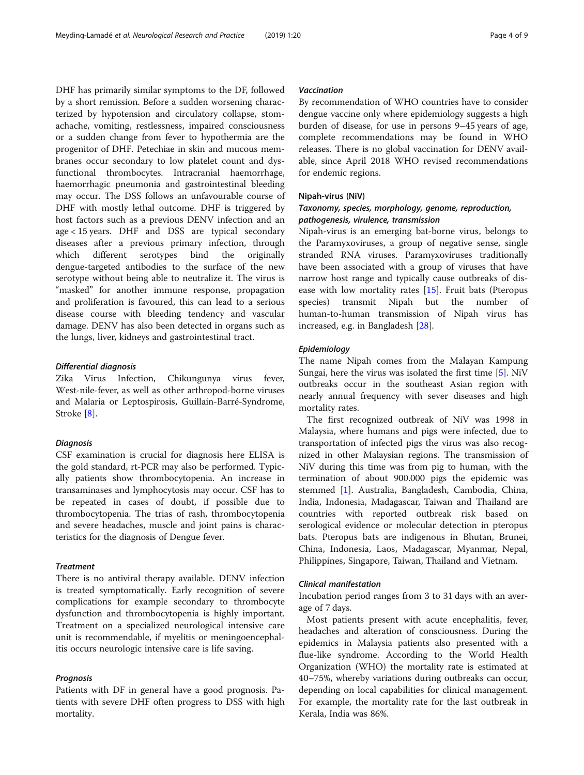DHF has primarily similar symptoms to the DF, followed by a short remission. Before a sudden worsening characterized by hypotension and circulatory collapse, stomachache, vomiting, restlessness, impaired consciousness or a sudden change from fever to hypothermia are the progenitor of DHF. Petechiae in skin and mucous membranes occur secondary to low platelet count and dysfunctional thrombocytes. Intracranial haemorrhage, haemorrhagic pneumonia and gastrointestinal bleeding may occur. The DSS follows an unfavourable course of DHF with mostly lethal outcome. DHF is triggered by host factors such as a previous DENV infection and an age < 15 years. DHF and DSS are typical secondary diseases after a previous primary infection, through which different serotypes bind the originally dengue-targeted antibodies to the surface of the new serotype without being able to neutralize it. The virus is "masked" for another immune response, propagation and proliferation is favoured, this can lead to a serious disease course with bleeding tendency and vascular damage. DENV has also been detected in organs such as the lungs, liver, kidneys and gastrointestinal tract.

#### Differential diagnosis

Zika Virus Infection, Chikungunya virus fever, West-nile-fever, as well as other arthropod-borne viruses and Malaria or Leptospirosis, Guillain-Barré-Syndrome, Stroke [\[8\]](#page-8-0).

#### **Diagnosis**

CSF examination is crucial for diagnosis here ELISA is the gold standard, rt-PCR may also be performed. Typically patients show thrombocytopenia. An increase in transaminases and lymphocytosis may occur. CSF has to be repeated in cases of doubt, if possible due to thrombocytopenia. The trias of rash, thrombocytopenia and severe headaches, muscle and joint pains is characteristics for the diagnosis of Dengue fever.

#### **Treatment**

There is no antiviral therapy available. DENV infection is treated symptomatically. Early recognition of severe complications for example secondary to thrombocyte dysfunction and thrombocytopenia is highly important. Treatment on a specialized neurological intensive care unit is recommendable, if myelitis or meningoencephalitis occurs neurologic intensive care is life saving.

#### Prognosis

Patients with DF in general have a good prognosis. Patients with severe DHF often progress to DSS with high mortality.

#### Vaccination

By recommendation of WHO countries have to consider dengue vaccine only where epidemiology suggests a high burden of disease, for use in persons 9–45 years of age, complete recommendations may be found in WHO releases. There is no global vaccination for DENV available, since April 2018 WHO revised recommendations for endemic regions.

#### Nipah-virus (NiV)

#### Taxonomy, species, morphology, genome, reproduction, pathogenesis, virulence, transmission

Nipah-virus is an emerging bat-borne virus, belongs to the Paramyxoviruses, a group of negative sense, single stranded RNA viruses. Paramyxoviruses traditionally have been associated with a group of viruses that have narrow host range and typically cause outbreaks of disease with low mortality rates [\[15\]](#page-8-0). Fruit bats (Pteropus species) transmit Nipah but the number human-to-human transmission of Nipah virus has increased, e.g. in Bangladesh [[28](#page-8-0)].

#### Epidemiology

The name Nipah comes from the Malayan Kampung Sungai, here the virus was isolated the first time [[5](#page-8-0)]. NiV outbreaks occur in the southeast Asian region with nearly annual frequency with sever diseases and high mortality rates.

The first recognized outbreak of NiV was 1998 in Malaysia, where humans and pigs were infected, due to transportation of infected pigs the virus was also recognized in other Malaysian regions. The transmission of NiV during this time was from pig to human, with the termination of about 900.000 pigs the epidemic was stemmed [\[1](#page-8-0)]. Australia, Bangladesh, Cambodia, China, India, Indonesia, Madagascar, Taiwan and Thailand are countries with reported outbreak risk based on serological evidence or molecular detection in pteropus bats. Pteropus bats are indigenous in Bhutan, Brunei, China, Indonesia, Laos, Madagascar, Myanmar, Nepal, Philippines, Singapore, Taiwan, Thailand and Vietnam.

#### Clinical manifestation

Incubation period ranges from 3 to 31 days with an average of 7 days.

Most patients present with acute encephalitis, fever, headaches and alteration of consciousness. During the epidemics in Malaysia patients also presented with a flue-like syndrome. According to the World Health Organization (WHO) the mortality rate is estimated at 40–75%, whereby variations during outbreaks can occur, depending on local capabilities for clinical management. For example, the mortality rate for the last outbreak in Kerala, India was 86%.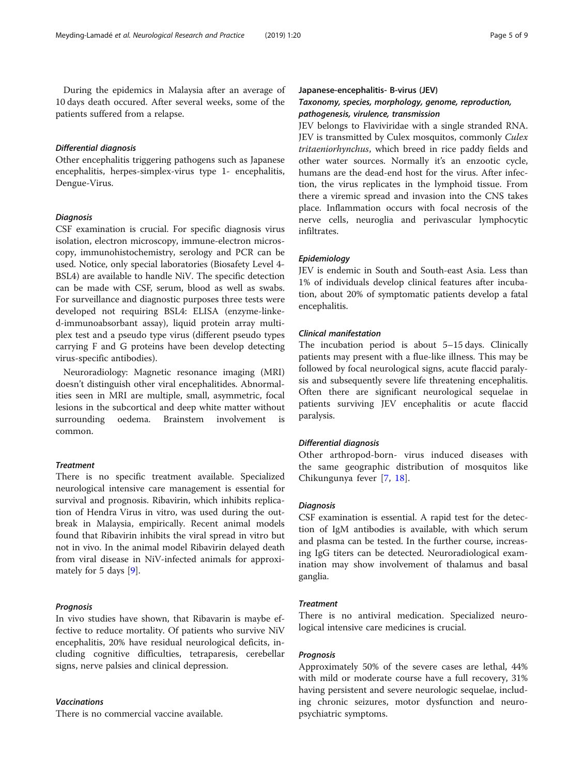During the epidemics in Malaysia after an average of 10 days death occured. After several weeks, some of the patients suffered from a relapse.

#### Differential diagnosis

Other encephalitis triggering pathogens such as Japanese encephalitis, herpes-simplex-virus type 1- encephalitis, Dengue-Virus.

#### Diagnosis

CSF examination is crucial. For specific diagnosis virus isolation, electron microscopy, immune-electron microscopy, immunohistochemistry, serology and PCR can be used. Notice, only special laboratories (Biosafety Level 4- BSL4) are available to handle NiV. The specific detection can be made with CSF, serum, blood as well as swabs. For surveillance and diagnostic purposes three tests were developed not requiring BSL4: ELISA (enzyme-linked-immunoabsorbant assay), liquid protein array multiplex test and a pseudo type virus (different pseudo types carrying F and G proteins have been develop detecting virus-specific antibodies).

Neuroradiology: Magnetic resonance imaging (MRI) doesn't distinguish other viral encephalitides. Abnormalities seen in MRI are multiple, small, asymmetric, focal lesions in the subcortical and deep white matter without surrounding oedema. Brainstem involvement is common.

#### **Treatment**

There is no specific treatment available. Specialized neurological intensive care management is essential for survival and prognosis. Ribavirin, which inhibits replication of Hendra Virus in vitro, was used during the outbreak in Malaysia, empirically. Recent animal models found that Ribavirin inhibits the viral spread in vitro but not in vivo. In the animal model Ribavirin delayed death from viral disease in NiV-infected animals for approximately for 5 days [\[9\]](#page-8-0).

#### Prognosis

In vivo studies have shown, that Ribavarin is maybe effective to reduce mortality. Of patients who survive NiV encephalitis, 20% have residual neurological deficits, including cognitive difficulties, tetraparesis, cerebellar signs, nerve palsies and clinical depression.

#### Vaccinations

There is no commercial vaccine available.

#### Japanese-encephalitis- B-virus (JEV)

#### Taxonomy, species, morphology, genome, reproduction, pathogenesis, virulence, transmission

JEV belongs to Flaviviridae with a single stranded RNA. JEV is transmitted by Culex mosquitos, commonly Culex tritaeniorhynchus, which breed in rice paddy fields and other water sources. Normally it's an enzootic cycle, humans are the dead-end host for the virus. After infection, the virus replicates in the lymphoid tissue. From there a viremic spread and invasion into the CNS takes place. Inflammation occurs with focal necrosis of the nerve cells, neuroglia and perivascular lymphocytic infiltrates.

#### Epidemiology

JEV is endemic in South and South-east Asia. Less than 1% of individuals develop clinical features after incubation, about 20% of symptomatic patients develop a fatal encephalitis.

#### Clinical manifestation

The incubation period is about 5–15 days. Clinically patients may present with a flue-like illness. This may be followed by focal neurological signs, acute flaccid paralysis and subsequently severe life threatening encephalitis. Often there are significant neurological sequelae in patients surviving JEV encephalitis or acute flaccid paralysis.

#### Differential diagnosis

Other arthropod-born- virus induced diseases with the same geographic distribution of mosquitos like Chikungunya fever [[7,](#page-8-0) [18\]](#page-8-0).

#### **Diagnosis**

CSF examination is essential. A rapid test for the detection of IgM antibodies is available, with which serum and plasma can be tested. In the further course, increasing IgG titers can be detected. Neuroradiological examination may show involvement of thalamus and basal ganglia.

#### **Treatment**

There is no antiviral medication. Specialized neurological intensive care medicines is crucial.

#### Prognosis

Approximately 50% of the severe cases are lethal, 44% with mild or moderate course have a full recovery, 31% having persistent and severe neurologic sequelae, including chronic seizures, motor dysfunction and neuropsychiatric symptoms.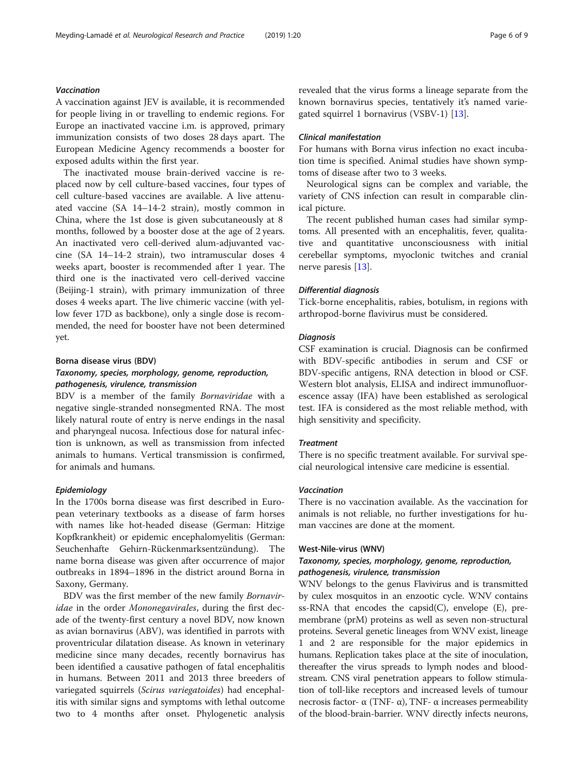#### Vaccination

A vaccination against JEV is available, it is recommended for people living in or travelling to endemic regions. For Europe an inactivated vaccine i.m. is approved, primary immunization consists of two doses 28 days apart. The European Medicine Agency recommends a booster for exposed adults within the first year.

The inactivated mouse brain-derived vaccine is replaced now by cell culture-based vaccines, four types of cell culture-based vaccines are available. A live attenuated vaccine (SA 14–14-2 strain), mostly common in China, where the 1st dose is given subcutaneously at 8 months, followed by a booster dose at the age of 2 years. An inactivated vero cell-derived alum-adjuvanted vaccine (SA 14–14-2 strain), two intramuscular doses 4 weeks apart, booster is recommended after 1 year. The third one is the inactivated vero cell-derived vaccine (Beijing-1 strain), with primary immunization of three doses 4 weeks apart. The live chimeric vaccine (with yellow fever 17D as backbone), only a single dose is recommended, the need for booster have not been determined yet.

#### Borna disease virus (BDV)

#### Taxonomy, species, morphology, genome, reproduction, pathogenesis, virulence, transmission

BDV is a member of the family Bornaviridae with a negative single-stranded nonsegmented RNA. The most likely natural route of entry is nerve endings in the nasal and pharyngeal nucosa. Infectious dose for natural infection is unknown, as well as transmission from infected animals to humans. Vertical transmission is confirmed, for animals and humans.

#### Epidemiology

In the 1700s borna disease was first described in European veterinary textbooks as a disease of farm horses with names like hot-headed disease (German: Hitzige Kopfkrankheit) or epidemic encephalomyelitis (German: Seuchenhafte Gehirn-Rückenmarksentzündung). The name borna disease was given after occurrence of major outbreaks in 1894–1896 in the district around Borna in Saxony, Germany.

BDV was the first member of the new family Bornaviridae in the order Mononegavirales, during the first decade of the twenty-first century a novel BDV, now known as avian bornavirus (ABV), was identified in parrots with proventricular dilatation disease. As known in veterinary medicine since many decades, recently bornavirus has been identified a causative pathogen of fatal encephalitis in humans. Between 2011 and 2013 three breeders of variegated squirrels (Scirus variegatoides) had encephalitis with similar signs and symptoms with lethal outcome two to 4 months after onset. Phylogenetic analysis revealed that the virus forms a lineage separate from the known bornavirus species, tentatively it's named variegated squirrel 1 bornavirus (VSBV-1) [\[13\]](#page-8-0).

#### Clinical manifestation

For humans with Borna virus infection no exact incubation time is specified. Animal studies have shown symptoms of disease after two to 3 weeks.

Neurological signs can be complex and variable, the variety of CNS infection can result in comparable clinical picture.

The recent published human cases had similar symptoms. All presented with an encephalitis, fever, qualitative and quantitative unconsciousness with initial cerebellar symptoms, myoclonic twitches and cranial nerve paresis [\[13](#page-8-0)].

#### Differential diagnosis

Tick-borne encephalitis, rabies, botulism, in regions with arthropod-borne flavivirus must be considered.

#### **Diagnosis**

CSF examination is crucial. Diagnosis can be confirmed with BDV-specific antibodies in serum and CSF or BDV-specific antigens, RNA detection in blood or CSF. Western blot analysis, ELISA and indirect immunofluorescence assay (IFA) have been established as serological test. IFA is considered as the most reliable method, with high sensitivity and specificity.

#### **Treatment**

There is no specific treatment available. For survival special neurological intensive care medicine is essential.

#### Vaccination

There is no vaccination available. As the vaccination for animals is not reliable, no further investigations for human vaccines are done at the moment.

#### West-Nile-virus (WNV)

### Taxonomy, species, morphology, genome, reproduction, pathogenesis, virulence, transmission

WNV belongs to the genus Flavivirus and is transmitted by culex mosquitos in an enzootic cycle. WNV contains ss-RNA that encodes the capsid(C), envelope (E), premembrane (prM) proteins as well as seven non-structural proteins. Several genetic lineages from WNV exist, lineage 1 and 2 are responsible for the major epidemics in humans. Replication takes place at the site of inoculation, thereafter the virus spreads to lymph nodes and bloodstream. CNS viral penetration appears to follow stimulation of toll-like receptors and increased levels of tumour necrosis factor-  $\alpha$  (TNF- α), TNF- α increases permeability of the blood-brain-barrier. WNV directly infects neurons,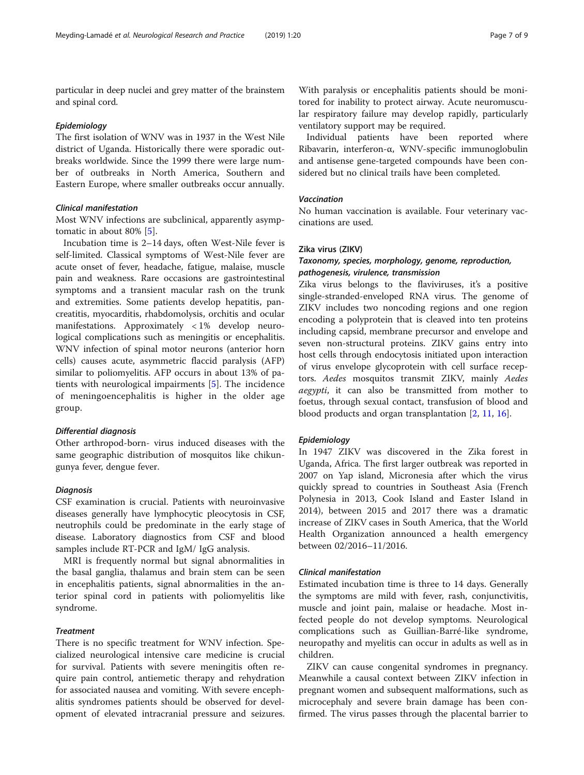particular in deep nuclei and grey matter of the brainstem and spinal cord.

#### Epidemiology

The first isolation of WNV was in 1937 in the West Nile district of Uganda. Historically there were sporadic outbreaks worldwide. Since the 1999 there were large number of outbreaks in North America, Southern and Eastern Europe, where smaller outbreaks occur annually.

#### Clinical manifestation

Most WNV infections are subclinical, apparently asymptomatic in about 80% [\[5](#page-8-0)].

Incubation time is 2–14 days, often West-Nile fever is self-limited. Classical symptoms of West-Nile fever are acute onset of fever, headache, fatigue, malaise, muscle pain and weakness. Rare occasions are gastrointestinal symptoms and a transient macular rash on the trunk and extremities. Some patients develop hepatitis, pancreatitis, myocarditis, rhabdomolysis, orchitis and ocular manifestations. Approximately < 1% develop neurological complications such as meningitis or encephalitis. WNV infection of spinal motor neurons (anterior horn cells) causes acute, asymmetric flaccid paralysis (AFP) similar to poliomyelitis. AFP occurs in about 13% of patients with neurological impairments [[5\]](#page-8-0). The incidence of meningoencephalitis is higher in the older age group.

#### Differential diagnosis

Other arthropod-born- virus induced diseases with the same geographic distribution of mosquitos like chikungunya fever, dengue fever.

#### **Diagnosis**

CSF examination is crucial. Patients with neuroinvasive diseases generally have lymphocytic pleocytosis in CSF, neutrophils could be predominate in the early stage of disease. Laboratory diagnostics from CSF and blood samples include RT-PCR and IgM/ IgG analysis.

MRI is frequently normal but signal abnormalities in the basal ganglia, thalamus and brain stem can be seen in encephalitis patients, signal abnormalities in the anterior spinal cord in patients with poliomyelitis like syndrome.

#### Treatment

There is no specific treatment for WNV infection. Specialized neurological intensive care medicine is crucial for survival. Patients with severe meningitis often require pain control, antiemetic therapy and rehydration for associated nausea and vomiting. With severe encephalitis syndromes patients should be observed for development of elevated intracranial pressure and seizures.

With paralysis or encephalitis patients should be monitored for inability to protect airway. Acute neuromuscular respiratory failure may develop rapidly, particularly ventilatory support may be required.

Individual patients have been reported where Ribavarin, interferon-α, WNV-specific immunoglobulin and antisense gene-targeted compounds have been considered but no clinical trails have been completed.

#### Vaccination

No human vaccination is available. Four veterinary vaccinations are used.

#### Zika virus (ZIKV)

#### Taxonomy, species, morphology, genome, reproduction, pathogenesis, virulence, transmission

Zika virus belongs to the flaviviruses, it's a positive single-stranded-enveloped RNA virus. The genome of ZIKV includes two noncoding regions and one region encoding a polyprotein that is cleaved into ten proteins including capsid, membrane precursor and envelope and seven non-structural proteins. ZIKV gains entry into host cells through endocytosis initiated upon interaction of virus envelope glycoprotein with cell surface receptors. Aedes mosquitos transmit ZIKV, mainly Aedes aegypti, it can also be transmitted from mother to foetus, through sexual contact, transfusion of blood and blood products and organ transplantation [[2,](#page-8-0) [11,](#page-8-0) [16\]](#page-8-0).

#### Epidemiology

In 1947 ZIKV was discovered in the Zika forest in Uganda, Africa. The first larger outbreak was reported in 2007 on Yap island, Micronesia after which the virus quickly spread to countries in Southeast Asia (French Polynesia in 2013, Cook Island and Easter Island in 2014), between 2015 and 2017 there was a dramatic increase of ZIKV cases in South America, that the World Health Organization announced a health emergency between 02/2016–11/2016.

#### Clinical manifestation

Estimated incubation time is three to 14 days. Generally the symptoms are mild with fever, rash, conjunctivitis, muscle and joint pain, malaise or headache. Most infected people do not develop symptoms. Neurological complications such as Guillian-Barré-like syndrome, neuropathy and myelitis can occur in adults as well as in children.

ZIKV can cause congenital syndromes in pregnancy. Meanwhile a causal context between ZIKV infection in pregnant women and subsequent malformations, such as microcephaly and severe brain damage has been confirmed. The virus passes through the placental barrier to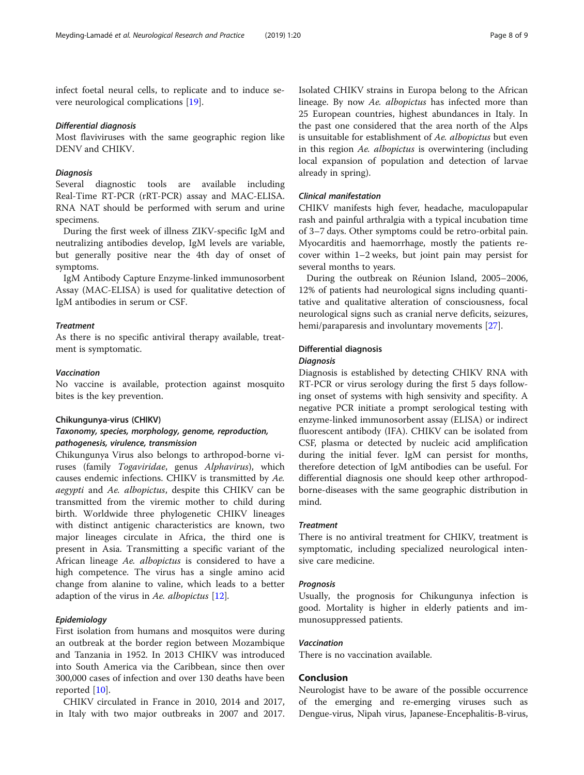infect foetal neural cells, to replicate and to induce severe neurological complications [[19\]](#page-8-0).

#### Differential diagnosis

Most flaviviruses with the same geographic region like DENV and CHIKV.

#### Diagnosis

Several diagnostic tools are available including Real-Time RT-PCR (rRT-PCR) assay and MAC-ELISA. RNA NAT should be performed with serum and urine specimens.

During the first week of illness ZIKV-specific IgM and neutralizing antibodies develop, IgM levels are variable, but generally positive near the 4th day of onset of symptoms.

IgM Antibody Capture Enzyme-linked immunosorbent Assay (MAC-ELISA) is used for qualitative detection of IgM antibodies in serum or CSF.

#### **Treatment**

As there is no specific antiviral therapy available, treatment is symptomatic.

#### Vaccination

No vaccine is available, protection against mosquito bites is the key prevention.

#### Chikungunya-virus (CHIKV)

#### Taxonomy, species, morphology, genome, reproduction, pathogenesis, virulence, transmission

Chikungunya Virus also belongs to arthropod-borne viruses (family Togaviridae, genus Alphavirus), which causes endemic infections. CHIKV is transmitted by Ae. aegypti and Ae. albopictus, despite this CHIKV can be transmitted from the viremic mother to child during birth. Worldwide three phylogenetic CHIKV lineages with distinct antigenic characteristics are known, two major lineages circulate in Africa, the third one is present in Asia. Transmitting a specific variant of the African lineage Ae. albopictus is considered to have a high competence. The virus has a single amino acid change from alanine to valine, which leads to a better adaption of the virus in Ae. albopictus [[12\]](#page-8-0).

#### Epidemiology

First isolation from humans and mosquitos were during an outbreak at the border region between Mozambique and Tanzania in 1952. In 2013 CHIKV was introduced into South America via the Caribbean, since then over 300,000 cases of infection and over 130 deaths have been reported [[10](#page-8-0)].

CHIKV circulated in France in 2010, 2014 and 2017, in Italy with two major outbreaks in 2007 and 2017.

Isolated CHIKV strains in Europa belong to the African lineage. By now Ae. albopictus has infected more than 25 European countries, highest abundances in Italy. In the past one considered that the area north of the Alps is unsuitable for establishment of Ae. albopictus but even in this region Ae. albopictus is overwintering (including local expansion of population and detection of larvae already in spring).

#### Clinical manifestation

CHIKV manifests high fever, headache, maculopapular rash and painful arthralgia with a typical incubation time of 3–7 days. Other symptoms could be retro-orbital pain. Myocarditis and haemorrhage, mostly the patients recover within 1–2 weeks, but joint pain may persist for several months to years.

During the outbreak on Réunion Island, 2005–2006, 12% of patients had neurological signs including quantitative and qualitative alteration of consciousness, focal neurological signs such as cranial nerve deficits, seizures, hemi/paraparesis and involuntary movements [[27\]](#page-8-0).

#### Differential diagnosis

#### **Diagnosis**

Diagnosis is established by detecting CHIKV RNA with RT-PCR or virus serology during the first 5 days following onset of systems with high sensivity and specifity. A negative PCR initiate a prompt serological testing with enzyme-linked immunosorbent assay (ELISA) or indirect fluorescent antibody (IFA). CHIKV can be isolated from CSF, plasma or detected by nucleic acid amplification during the initial fever. IgM can persist for months, therefore detection of IgM antibodies can be useful. For differential diagnosis one should keep other arthropodborne-diseases with the same geographic distribution in mind.

#### **Treatment**

There is no antiviral treatment for CHIKV, treatment is symptomatic, including specialized neurological intensive care medicine.

#### Prognosis

Usually, the prognosis for Chikungunya infection is good. Mortality is higher in elderly patients and immunosuppressed patients.

#### Vaccination

There is no vaccination available.

#### Conclusion

Neurologist have to be aware of the possible occurrence of the emerging and re-emerging viruses such as Dengue-virus, Nipah virus, Japanese-Encephalitis-B-virus,